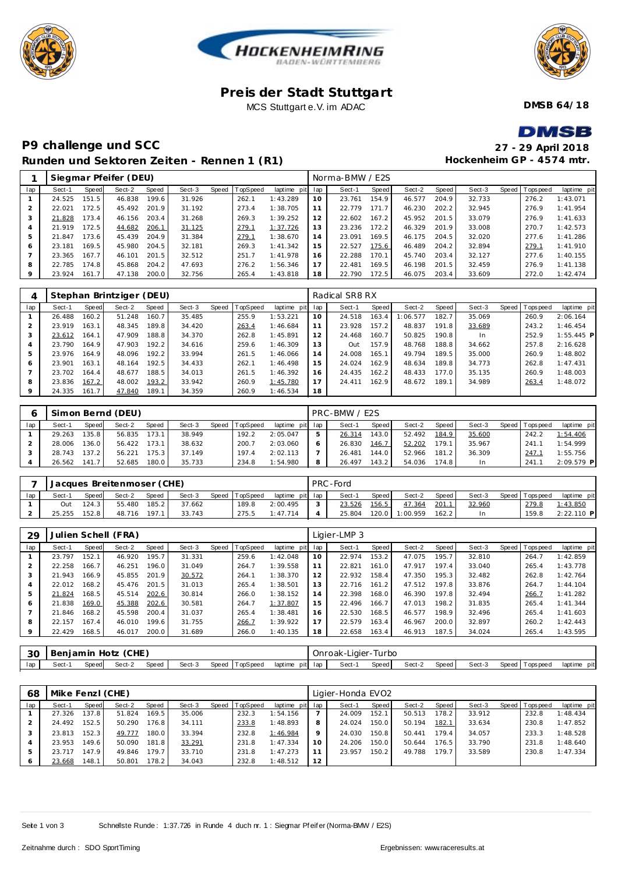





### **Pre is der Stadt Stuttgart** MCS Stuttgart e.V. im ADAC

**DMSB 64/18**

# **P9 challenge und SCC Runden und Sektoren Ze iten - Rennen 1 (R1)**

| DMSB                      |
|---------------------------|
| 27 - 29 April 2018        |
| Hockenheim GP - 4574 mtr. |

|     |              |       | Siegmar Pfeifer (DEU) |       |        |       |          |                 |     | Norma-BMW / E2S |       |        |       |        |                |             |
|-----|--------------|-------|-----------------------|-------|--------|-------|----------|-----------------|-----|-----------------|-------|--------|-------|--------|----------------|-------------|
| lap | Sect-1       | Speed | Sect-2                | Speed | Sect-3 | Speed | TopSpeed | laptime<br>pitl | lap | Sect-1          | Speed | Sect-2 | Speed | Sect-3 | Speed Topspeed | laptime pit |
|     | 24.525       | 151.5 | 46.838                | 199.6 | 31.926 |       | 262.1    | 1:43.289        | 10  | 23.761          | 154.9 | 46.577 | 204.9 | 32.733 | 276.2          | 1:43.071    |
|     | 22.021       | 172.5 | 45.492                | 201.9 | 31.192 |       | 273.4    | 1:38.705        |     | 22.779          | 171.7 | 46.230 | 202.2 | 32.945 | 276.9          | 1:41.954    |
| 3   | 21.828       | 173.4 | 46.156                | 203.4 | 31.268 |       | 269.3    | 1:39.252        | 12  | 22.602          | 167.2 | 45.952 | 201.5 | 33.079 | 276.9          | 1:41.633    |
| 4   | 21.919       | 172.5 | 44.682                | 206.1 | 31.125 |       | 279.1    | 1:37.726        | 13  | 23.236          | 172.2 | 46.329 | 201.9 | 33.008 | 270.7          | 1:42.573    |
| 5   | 21.847       | 173.6 | 45.439                | 204.9 | 31.384 |       | 279.1    | 1:38.670        | 14  | 23.091          | 169.5 | 46.175 | 204.5 | 32.020 | 277.6          | 1:41.286    |
| 6   | 23.181       | 169.5 | 45.980                | 204.5 | 32.181 |       | 269.3    | 1:41.342        | 15  | 22.527          | 175.6 | 46.489 | 204.2 | 32.894 | 279.1          | 1:41.910    |
|     | 23.365       | 167.7 | 46.101                | 201.5 | 32.512 |       | 251.7    | 1:41.978        | 16  | 22.288          | 170.1 | 45.740 | 203.4 | 32.127 | 277.6          | 1:40.155    |
| 8   | 22.785       | 174.8 | 45.868                | 204.2 | 47.693 |       | 276.2    | 1:56.346        |     | 22.481          | 169.5 | 46.198 | 201.5 | 32.459 | 276.9          | 1:41.138    |
| 9   | 23.924 161.7 |       | 47.138                | 200.0 | 32.756 |       | 265.4    | 1:43.818        | 18  | 22.790          | 172.5 | 46.075 | 203.4 | 33.609 | 272.0          | 1:42.474    |
|     |              |       |                       |       |        |       |          |                 |     |                 |       |        |       |        |                |             |
|     |              |       |                       |       |        |       |          |                 |     |                 |       |        |       |        |                |             |

|                |        |       | Stephan Brintziger (DEU) |       |        |       |          |                 |    | Radical SR8 RX |       |          |       |        |                 |              |
|----------------|--------|-------|--------------------------|-------|--------|-------|----------|-----------------|----|----------------|-------|----------|-------|--------|-----------------|--------------|
| lap            | Sect-1 | Speed | Sect-2                   | Speed | Sect-3 | Speed | TopSpeed | laptime pit lap |    | Sect-1         | Speed | Sect-2   | Speed | Sect-3 | Speed Tops peed | laptime pit  |
|                | 26.488 | 160.2 | 51.248                   | 160.7 | 35.485 |       | 255.9    | 1:53.221        | 10 | 24.518         | 163.4 | 1:06.577 | 182.7 | 35.069 | 260.9           | 2:06.164     |
|                | 23.919 | 163.1 | 48.345                   | 189.8 | 34.420 |       | 263.4    | 1:46.684        |    | 23.928         | 157.2 | 48.837   | 191.8 | 33.689 | 243.2           | 1:46.454     |
| 3              | 23.612 | 164.1 | 47.909                   | 188.8 | 34.370 |       | 262.8    | 1:45.891        | 12 | 24.468         | 160.7 | 50.825   | 190.8 | In.    | 252.9           | $1:55.445$ P |
| $\overline{4}$ | 23.790 | 164.9 | 47.903                   | 192.2 | 34.616 |       | 259.6    | 1:46.309        | 13 | <b>Out</b>     | 157.9 | 48.768   | 188.8 | 34.662 | 257.8           | 2:16.628     |
| 5              | 23.976 | 164.9 | 48.096                   | 192.2 | 33.994 |       | 261.5    | 1:46.066        | 14 | 24.008         | 165.1 | 49.794   | 189.5 | 35,000 | 260.9           | 1:48.802     |
| 6              | 23.901 | 163.1 | 48.164                   | 192.5 | 34.433 |       | 262.1    | 1:46.498        | 15 | 24.024         | 162.9 | 48.634   | 189.8 | 34.773 | 262.8           | 1:47.431     |
|                | 23.702 | 164.4 | 48.677                   | 188.5 | 34.013 |       | 261.5    | 1:46.392        | 16 | 24.435         | 162.2 | 48.433   | 177.0 | 35.135 | 260.9           | 1:48.003     |
| 8              | 23.836 | 167.2 | 48.002                   | 193.2 | 33.942 |       | 260.9    | 1:45.780        | 17 | 24.411         | 162.9 | 48.672   | 189.1 | 34.989 | 263.4           | 1:48.072     |
| 9              | 24.335 | 161.7 | 47.840                   | 189.1 | 34.359 |       | 260.9    | 1:46.534        | 18 |                |       |          |       |        |                 |              |

|     |        |       | Simon Bernd (DEU) |       |        |       |          |                 |   | PRC-BMW / E2S |       |        |       |        |                |              |
|-----|--------|-------|-------------------|-------|--------|-------|----------|-----------------|---|---------------|-------|--------|-------|--------|----------------|--------------|
| lap | Sect-1 | Speed | Sect-2            | Speed | Sect-3 | Speed | TopSpeed | laptime pit lap |   | Sect-1        | Speed | Sect-2 | Speed | Sect-3 | Speed Topspeed | laptime pit  |
|     | 29.263 | 135.8 | 56.835            | 173.1 | 38.949 |       | 192.2    | 2:05.047        | 5 | 26.314        | 143.0 | 52.492 | 184.9 | 35.600 | 242.2          | 1:54.406     |
|     | 28.006 | 136.0 | 56.422            | 173.1 | 38.632 |       | 200.7    | 2:03.060        | O | 26.830        | 146.7 | 52.202 | 179.1 | 35.967 | 241.           | 1:54.999     |
|     | 28.743 | 137.2 | 56.221            | 175.3 | 37.149 |       | 197.4    | 2:02.113        |   | 26.481        | 144.0 | 52.966 | 181.2 | 36.309 | 247.           | 1:55.756     |
|     | 26.562 | 141.7 | 52.685            | 180.0 | 35.733 |       | 234.8    | 1:54.980        | 8 | 26.497        | 143.2 | 54.036 | 174.8 | In     | 241.7          | $2:09.579$ P |

|     |        |       | Jacques Breitenmoser (CHE) |              |        |                |                 | PRC-Ford |         |          |         |        |                 |              |
|-----|--------|-------|----------------------------|--------------|--------|----------------|-----------------|----------|---------|----------|---------|--------|-----------------|--------------|
| lap | Sect-1 | Speed | Sect-2                     | <b>Speed</b> | Sect-3 | Speed TopSpeed | laptime pit lap | Sect-1   | Speed I | Sect-2   | Speed I | Sect-3 | Speed Tops peed | laptime pit  |
|     | Out    | 124.3 | 55.480                     | 185.2        | 37.662 | 189.8          | 2:00.495        | 23.526   | 156.5   | 47.364   | 201.1   | 32.960 | 279.8           | 1:43.850     |
|     | 25.255 | 152.8 | 48.716                     | 197.1        | 33.743 | 275.5          | 1:47.714        | 25.804   | 120.0   | 1:00.959 | 162.2   |        | 159.8           | $2:22.110$ P |

| 29  |        |       | Julien Schell (FRA) |       |        |       |                 |             |     | Ligier-LMP 3 |       |        |                    |        |                 |             |
|-----|--------|-------|---------------------|-------|--------|-------|-----------------|-------------|-----|--------------|-------|--------|--------------------|--------|-----------------|-------------|
| lap | Sect-1 | Speed | Sect-2              | Speed | Sect-3 | Speed | <b>TopSpeed</b> | laptime pit | lap | Sect-1       | Speed | Sect-2 | Speed              | Sect-3 | Speed Tops peed | laptime pit |
|     | 23.797 | 152.  | 46.920              | 195.7 | 31.331 |       | 259.6           | 1:42.048    | 10  | 22.974       | 153.2 | 47.075 | 195.7              | 32.810 | 264.7           | 1:42.859    |
|     | 22.258 | 166.7 | 46.251              | 196.0 | 31.049 |       | 264.7           | 1:39.558    | 11  | 22.821       | 161.0 | 47.917 | 197.4              | 33.040 | 265.4           | 1:43.778    |
|     | 21.943 | 166.9 | 45.855              | 201.9 | 30.572 |       | 264.1           | 1:38.370    | 12  | 22.932       | 158.4 | 47.350 | 195.3              | 32.482 | 262.8           | 1:42.764    |
|     | 22.012 | 168.2 | 45.476              | 201.5 | 31.013 |       | 265.4           | 1:38.501    | 13  | 22.716       | 161.2 | 47.512 | 197.8              | 33.876 | 264.7           | 1:44.104    |
|     | 21.824 | 168.5 | 45.514              | 202.6 | 30.814 |       | 266.0           | 1:38.152    | 14  | 22.398       | 168.0 | 46.390 | 197.8              | 32.494 | 266.7           | 1:41.282    |
| 6   | 21.838 | 169.0 | 45.388              | 202.6 | 30.581 |       | 264.7           | 1:37.807    | 15  | 22.496       | 166.7 | 47.013 | 198.2 <sub>1</sub> | 31.835 | 265.4           | 1: 41.344   |
|     | 21.846 | 168.2 | 45.598              | 200.4 | 31.037 |       | 265.4           | 1:38.481    | 16  | 22.530       | 168.5 | 46.577 | 198.9              | 32.496 | 265.4           | 1:41.603    |
| 8   | 22.157 | 167.4 | 46.010              | 199.6 | 31.755 |       | 266.7           | 1:39.922    |     | 22.579       | 163.4 | 46.967 | 200.0              | 32.897 | 260.2           | 1:42.443    |
|     | 22.429 | 168.5 | 46.017              | 200.0 | 31.689 |       | 266.0           | 1:40.135    | 18  | 22.658       | 163.4 | 46.913 | 187.5              | 34.024 | 265.4           | 1:43.595    |

| 3C  | (CHE)<br>Hotz<br>- Benjamin ⊧ |       |        |       |        |       |          |                    | Onroak-Ligier-Turbo |       |        |       |        |       |         |             |
|-----|-------------------------------|-------|--------|-------|--------|-------|----------|--------------------|---------------------|-------|--------|-------|--------|-------|---------|-------------|
| lap | Sect-                         | Speed | Sect-2 | Speed | Sect-3 | Speed | TopSpeed | pit lap<br>laptime | Sect-1              | Speed | Sect-2 | Speed | Sect-3 | Speed | opspeed | laptime pit |

| 68  | Mike Fenzl (CHE) |       |        |       |        |                |                 |         | Ligier-Honda EVO2 |       |        |       |        |                |             |
|-----|------------------|-------|--------|-------|--------|----------------|-----------------|---------|-------------------|-------|--------|-------|--------|----------------|-------------|
| lap | Sect-1           | Speed | Sect-2 | Speed | Sect-3 | Speed TopSpeed | laptime pit lap |         | Sect-1            | Speed | Sect-2 | Speed | Sect-3 | Speed Topspeed | laptime pit |
|     | 27.326           | 137.8 | 51.824 | 169.5 | 35.006 | 232.3          | I: 54.156       |         | 24.009            | 152.1 | 50.513 | 178.2 | 33.912 | 232.8          | 1:48.434    |
|     | 24.492           | 152.5 | 50.290 | 176.8 | 34.111 | 233.8          | 1:48.893        | 8       | 24.024            | 150.0 | 50.194 | 182.1 | 33.634 | 230.8          | 1:47.852    |
|     | 23.813           | 152.3 | 49.777 | 180.0 | 33.394 | 232.8          | 1:46.984        | $\circ$ | 24.030            | 150.8 | 50.441 | 179.4 | 34.057 | 233.3          | 1:48.528    |
|     | 23.953           | 149.6 | 50.090 | 181.8 | 33.291 | 231.8          | 1:47.334        | 10      | 24.206            | 150.0 | 50.644 | 176.5 | 33.790 | 231.8          | 1:48.640    |
|     | 23.717           | 147.9 | 49.846 | 179.7 | 33.710 | 231.8          | 1:47.273        |         | 23.957            | 150.2 | 49.788 | 179.7 | 33.589 | 230.8          | 1:47.334    |
| 6   | 23.668           | 148.1 | 50.801 | 178.2 | 34.043 | 232.8          | 1:48.512        | 12      |                   |       |        |       |        |                |             |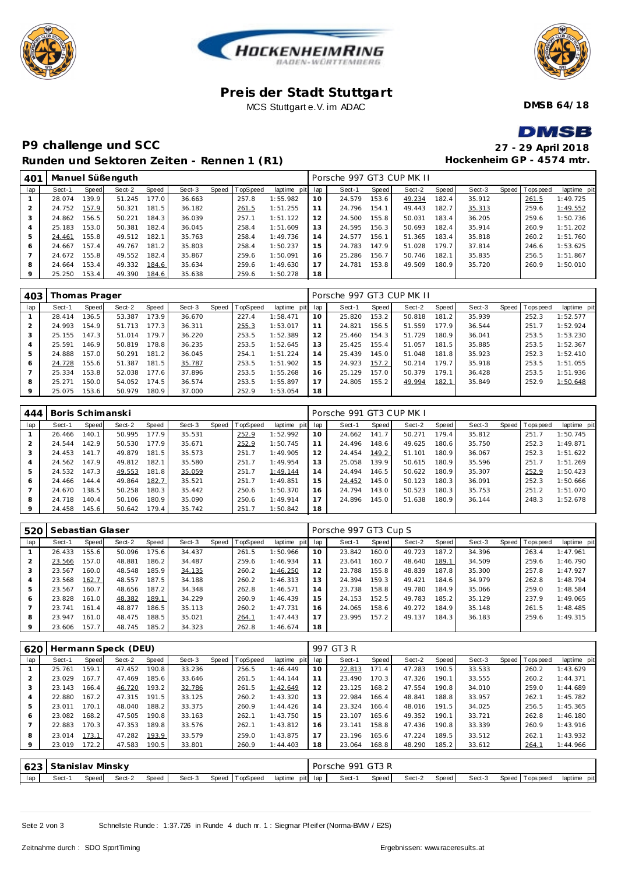





### **Pre is der Stadt Stuttgart** MCS Stuttgart e.V. im ADAC

**DMSB 64/18**

# MCD

## **P9 challenge und SCC Runden und Sektoren Ze iten - Rennen 1 (R1)**

| $\blacksquare$ $\blacksquare$ $\blacksquare$ |
|----------------------------------------------|
| 27 - 29 April 2018                           |
| Hockenheim GP - 4574 mtr.                    |

| 401 |        |       | Manuel Süßenguth |       |        |       |          |                 |    | Porsche 997 GT3 CUP MK II |       |        |       |        |                |             |
|-----|--------|-------|------------------|-------|--------|-------|----------|-----------------|----|---------------------------|-------|--------|-------|--------|----------------|-------------|
| lap | Sect-1 | Speed | Sect-2           | Speed | Sect-3 | Speed | TopSpeed | laptime pit lap |    | Sect-1                    | Speed | Sect-2 | Speed | Sect-3 | Speed Topspeed | laptime pit |
|     | 28.074 | 139.9 | 51.245           | 177.0 | 36.663 |       | 257.8    | 1:55.982        | 10 | 24.579                    | 153.6 | 49.234 | 182.4 | 35.912 | 261.5          | 1:49.725    |
|     | 24.752 | 157.9 | 50.321           | 181.5 | 36.182 |       | 261.5    | 1:51.255        | 11 | 24.796                    | 154.1 | 49.443 | 182.7 | 35.313 | 259.6          | 1:49.552    |
|     | 24.862 | 156.5 | 50.221           | 184.3 | 36.039 |       | 257.1    | 1:51.122        | 12 | 24.500                    | 155.8 | 50.031 | 183.4 | 36.205 | 259.6          | 1:50.736    |
|     | 25.183 | 153.0 | 50.381           | 182.4 | 36.045 |       | 258.4    | 1:51.609        | 13 | 24.595                    | 156.3 | 50.693 | 182.4 | 35.914 | 260.9          | 1:51.202    |
| 5   | 24.461 | 155.8 | 49.512           | 182.1 | 35.763 |       | 258.4    | 1:49.736        | 14 | 24.577                    | 156.1 | 51.365 | 183.4 | 35.818 | 260.2          | 1:51.760    |
| 6   | 24.667 | 157.4 | 49.767           | 181.2 | 35.803 |       | 258.4    | 1:50.237        | 15 | 24.783                    | 147.9 | 51.028 | 179.7 | 37.814 | 246.6          | 1:53.625    |
|     | 24.672 | 155.8 | 49.552           | 182.4 | 35.867 |       | 259.6    | 1:50.091        | 16 | 25.286                    | 156.7 | 50.746 | 182.1 | 35.835 | 256.5          | 1:51.867    |
| 8   | 24.664 | 153.4 | 49.332           | 184.6 | 35.634 |       | 259.6    | 1:49.630        | 17 | 24.781                    | 153.8 | 49.509 | 180.9 | 35.720 | 260.9          | 1:50.010    |
| 9   | 25.250 | 153.4 | 49.390           | 184.6 | 35.638 |       | 259.6    | 1:50.278        | 18 |                           |       |        |       |        |                |             |
|     |        |       |                  |       |        |       |          |                 |    |                           |       |        |       |        |                |             |

| 403 |        | Thomas Prager |        |       |        |       |          |                 |    | Porsche 997 GT3 CUP MK II |       |        |       |        |                |             |
|-----|--------|---------------|--------|-------|--------|-------|----------|-----------------|----|---------------------------|-------|--------|-------|--------|----------------|-------------|
| lap | Sect-1 | Speed         | Sect-2 | Speed | Sect-3 | Speed | TopSpeed | laptime pit lap |    | Sect-1                    | Speed | Sect-2 | Speed | Sect-3 | Speed Topspeed | laptime pit |
|     | 28.414 | 136.5         | 53.387 | 173.9 | 36.670 |       | 227.4    | 1:58.471        | 10 | 25.820                    | 153.2 | 50.818 | 181.2 | 35.939 | 252.3          | 1:52.577    |
|     | 24.993 | 154.9         | 51.713 | 177.3 | 36.311 |       | 255.3    | 1:53.017        |    | 24.821                    | 156.5 | 51.559 | 177.9 | 36.544 | 251.7          | 1:52.924    |
|     | 25.155 | 147.3         | 51.014 | 179.7 | 36.220 |       | 253.5    | 1:52.389        | 12 | 25.460                    | 154.3 | 51.729 | 180.9 | 36.041 | 253.5          | 1:53.230    |
| 4   | 25.591 | 146.9         | 50.819 | 178.8 | 36.235 |       | 253.5    | 1:52.645        | 13 | 25.425                    | 155.4 | 51.057 | 181.5 | 35.885 | 253.5          | 1:52.367    |
| 5   | 24.888 | 157.0         | 50.291 | 181.2 | 36.045 |       | 254.1    | 1:51.224        | 14 | 25.439                    | 145.0 | 51.048 | 181.8 | 35.923 | 252.3          | 1:52.410    |
| 6   | 24.728 | 155.6         | 51.387 | 181.5 | 35.787 |       | 253.5    | 1:51.902        | 15 | 24.923                    | 157.2 | 50.214 | 179.7 | 35.918 | 253.5          | 1:51.055    |
|     | 25.334 | 153.8         | 52.038 | 177.6 | 37.896 |       | 253.5    | 1:55.268        | 16 | 25.129                    | 157.0 | 50.379 | 179.1 | 36.428 | 253.5          | 1:51.936    |
| 8   | 25.271 | 150.0         | 54.052 | 174.5 | 36.574 |       | 253.5    | 1:55.897        | 17 | 24.805                    | 155.2 | 49.994 | 182.1 | 35.849 | 252.9          | 1:50.648    |
|     | 25.075 | 153.6         | 50.979 | 180.9 | 37.000 |       | 252.9    | 1:53.054        | 18 |                           |       |        |       |        |                |             |

| 444     | Boris Schimanski |       |        |       |        |       |          |                 |    | Porsche 991 GT3 CUP MK I |       |        |       |        |                |             |
|---------|------------------|-------|--------|-------|--------|-------|----------|-----------------|----|--------------------------|-------|--------|-------|--------|----------------|-------------|
| lap     | Sect-1           | Speed | Sect-2 | Speed | Sect-3 | Speed | TopSpeed | laptime pit lap |    | Sect-1                   | Speed | Sect-2 | Speed | Sect-3 | Speed Topspeed | laptime pit |
|         | 26.466           | 140.1 | 50.995 | 177.9 | 35.531 |       | 252.9    | 1:52.992        | 10 | 24.662                   | 141.7 | 50.271 | 179.4 | 35.812 | 251.7          | 1:50.745    |
|         | 24.544           | 142.9 | 50.530 | 177.9 | 35.671 |       | 252.9    | 1:50.745        | 11 | 24.496                   | 148.6 | 49.625 | 180.6 | 35.750 | 252.3          | 1:49.871    |
|         | 24.453           | 141.7 | 49.879 | 181.5 | 35.573 |       | 251.7    | 1:49.905        | 12 | 24.454                   | 149.2 | 51.101 | 180.9 | 36.067 | 252.3          | 1:51.622    |
| 4       | 24.562           | 147.9 | 49.812 | 182.1 | 35.580 |       | 251      | 1:49.954        | 13 | 25.058                   | 139.9 | 50.615 | 180.9 | 35.596 | 251.7          | 1:51.269    |
| 5       | 24.532           | 147.3 | 49.553 | 181.8 | 35.059 |       | 251.7    | 1:49.144        | 14 | 24.494                   | 146.5 | 50.622 | 180.9 | 35.307 | 252.9          | 1:50.423    |
| 6       | 24.466           | 144.4 | 49.864 | 182.7 | 35.521 |       | 251      | 1:49.851        | 15 | 24.452                   | 145.0 | 50.123 | 180.3 | 36.091 | 252.3          | 1:50.666    |
|         | 24.670           | 138.5 | 50.258 | 180.3 | 35.442 |       | 250.6    | 1:50.370        | 16 | 24.794                   | 143.0 | 50.523 | 180.3 | 35.753 | 251.2          | 1:51.070    |
| 8       | 24.718           | 140.4 | 50.106 | 180.9 | 35.090 |       | 250.6    | 1:49.914        | 17 | 24.896                   | 145.0 | 51.638 | 180.9 | 36.144 | 248.3          | 1:52.678    |
| $\circ$ | 24.458           | 145.6 | 50.642 | 179.4 | 35.742 |       | 251      | 1:50.842        | 18 |                          |       |        |       |        |                |             |

| 520     | Sebastian Glaser |       |        |       |        | Porsche 997 GT3 Cup S |          |                 |    |        |       |        |       |        |  |                 |             |
|---------|------------------|-------|--------|-------|--------|-----------------------|----------|-----------------|----|--------|-------|--------|-------|--------|--|-----------------|-------------|
| lap     | Sect-1           | Speed | Sect-2 | Speed | Sect-3 | Speed                 | TopSpeed | laptime pit lap |    | Sect-1 | Speed | Sect-2 | Speed | Sect-3 |  | Speed Tops peed | laptime pit |
|         | 26.433           | 155.6 | 50.096 | 175.6 | 34.437 |                       | 261.5    | 1:50.966        | 10 | 23.842 | 160.0 | 49.723 | 187.2 | 34.396 |  | 263.4           | 1:47.961    |
|         | 23.566           | 157.0 | 48.881 | 186.2 | 34.487 |                       | 259.6    | 1:46.934        | 11 | 23.641 | 160.7 | 48.640 | 189.1 | 34.509 |  | 259.6           | 1:46.790    |
| 3       | 23.567           | 160.0 | 48.548 | 185.9 | 34.135 |                       | 260.2    | 1:46.250        | 12 | 23.788 | 155.8 | 48.839 | 187.8 | 35.300 |  | 257.8           | 1:47.927    |
|         | 23.568           | 162.7 | 48.557 | 187.5 | 34.188 |                       | 260.2    | 1:46.313        | 13 | 24.394 | 159.3 | 49.421 | 184.6 | 34.979 |  | 262.8           | 1:48.794    |
|         | 23.567           | 160.7 | 48.656 | 187.2 | 34.348 |                       | 262.8    | 1:46.571        | 14 | 23.738 | 158.8 | 49.780 | 184.9 | 35.066 |  | 259.0           | 1:48.584    |
| 6       | 23.828           | 161.0 | 48.382 | 189.1 | 34.229 |                       | 260.9    | 1:46.439        | 15 | 24.153 | 152.5 | 49.783 | 185.2 | 35.129 |  | 237.9           | 1:49.065    |
|         | 23.741           | 161.4 | 48.877 | 186.5 | 35.113 |                       | 260.2    | 1:47.731        | 16 | 24.065 | 158.6 | 49.272 | 184.9 | 35.148 |  | 261.5           | 1:48.485    |
| 8       | 23.947           | 161.0 | 48.475 | 188.5 | 35.021 |                       | 264.1    | 1:47.443        |    | 23.995 | 157.2 | 49.137 | 184.3 | 36.183 |  | 259.6           | 1:49.315    |
| $\circ$ | 23.606           | 157.7 | 48.745 | 185.2 | 34.323 |                       | 262.8    | 1:46.674        | 18 |        |       |        |       |        |  |                 |             |

| 620            | Hermann Speck (DEU) |                       |        |       |        |       |                 |             |     |        | 997 GT3 R |        |       |        |       |             |             |  |  |  |  |
|----------------|---------------------|-----------------------|--------|-------|--------|-------|-----------------|-------------|-----|--------|-----------|--------|-------|--------|-------|-------------|-------------|--|--|--|--|
| lap            | Sect-1              | Speed                 | Sect-2 | Speed | Sect-3 | Speed | <b>TopSpeed</b> | laptime pit | lap | Sect-1 | Speed     | Sect-2 | Speed | Sect-3 | Speed | T ops pee d | laptime pit |  |  |  |  |
|                | 25.761              | 159.1                 | 47.452 | 190.8 | 33.236 |       | 256.5           | 1:46.449    | 10  | 22.813 | 171.4     | 47.283 | 190.5 | 33.533 |       | 260.2       | 1:43.629    |  |  |  |  |
| $\overline{2}$ | 23.029              | 167<br>$\overline{7}$ | 47.469 | 185.6 | 33.646 |       | 261.5           | 1:44.144    | 11  | 23.490 | 170.3     | 47.326 | 190.1 | 33.555 |       | 260.2       | 1:44.371    |  |  |  |  |
| 3              | 23.143              | 166.4                 | 46.720 | 193.2 | 32.786 |       | 261.5           | 1:42.649    | 12  | 23.125 | 168.2     | 47.554 | 190.8 | 34.010 |       | 259.0       | 1:44.689    |  |  |  |  |
| 4              | 22.880              | 167.2                 | 47.315 | 191.5 | 33.125 |       | 260.2           | 1:43.320    | 13  | 22.984 | 166.4     | 48.841 | 188.8 | 33.957 |       | 262.1       | 1:45.782    |  |  |  |  |
| 5              | 23.011              | 170.1                 | 48.040 | 188.2 | 33.375 |       | 260.9           | 1:44.426    | 14  | 23.324 | 166.4     | 48.016 | 191.5 | 34.025 |       | 256.5       | 1:45.365    |  |  |  |  |
| 6              | 23.082              | 168.2                 | 47.505 | 190.8 | 33.163 |       | 262.1           | 1:43.750    | 15  | 23.107 | 165.6     | 49.352 | 190.1 | 33.721 |       | 262.8       | 1:46.180    |  |  |  |  |
|                | 22.883              | 170.3                 | 47.353 | 189.8 | 33.576 |       | 262.1           | 1:43.812    | 16  | 23.141 | 158.8     | 47.436 | 190.8 | 33.339 |       | 260.9       | 1:43.916    |  |  |  |  |
| 8              | 23.014              | 173.1                 | 47.282 | 193.9 | 33.579 |       | 259.0           | 1:43.875    | 17  | 23.196 | 165.6     | 47.224 | 189.5 | 33.512 |       | 262.1       | 1:43.932    |  |  |  |  |
|                | 23.019              | 172.2                 | 47.583 | 190.5 | 33.801 |       | 260.9           | 1:44.403    | 18  | 23.064 | 168.8     | 48.290 | 185.2 | 33.612 |       | 264.1       | 1:44.966    |  |  |  |  |
|                |                     |                       |        |       |        |       |                 |             |     |        |           |        |       |        |       |             |             |  |  |  |  |

|     | 1623   Stanislav Minsky |       |        |       |        |                |                 | Porsche 991 GT3 R |       |        |       |        |                                   |                |
|-----|-------------------------|-------|--------|-------|--------|----------------|-----------------|-------------------|-------|--------|-------|--------|-----------------------------------|----------------|
| lap | Sect-                   | Speed | Sect-2 | Speed | Sect-3 | Speed TopSpeed | laptime pit lap | Sect-1            | Speed | Sect-2 | Speed | Sect-3 | Speed I <sup>T</sup><br>Tops peed | laptime<br>pit |

Seite 2 von 3 Schnellste Runde : 1:37.726 in Runde 4 duch nr. 1 : Siegmar Pf eif er (Norma-BMW / E2S)